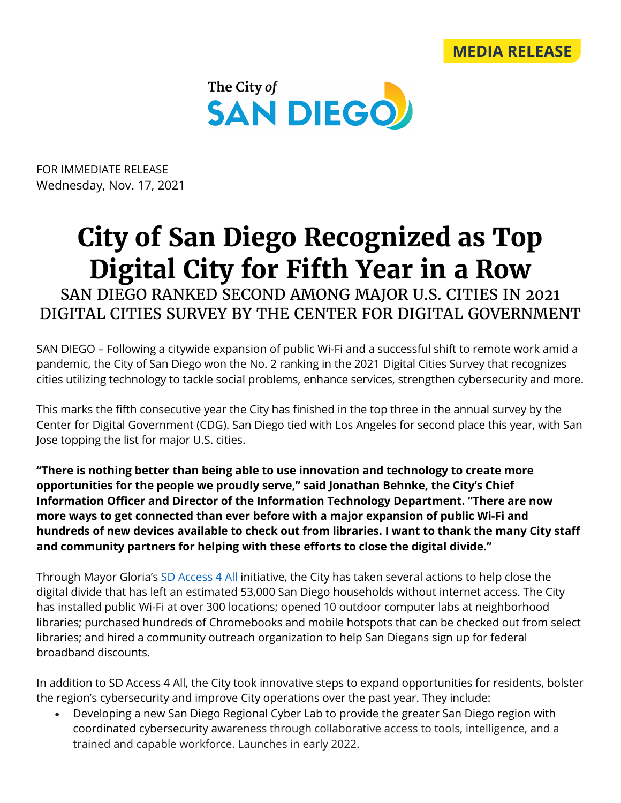



FOR IMMEDIATE RELEASE Wednesday, Nov. 17, 2021

## **City of San Diego Recognized as Top Digital City for Fifth Year in a Row**

SAN DIEGO RANKED SECOND AMONG MAJOR U.S. CITIES IN 2021 DIGITAL CITIES SURVEY BY THE CENTER FOR DIGITAL GOVERNMENT

SAN DIEGO – Following a citywide expansion of public Wi-Fi and a successful shift to remote work amid a pandemic, the City of San Diego won the No. 2 ranking in the 2021 Digital Cities Survey that recognizes cities utilizing technology to tackle social problems, enhance services, strengthen cybersecurity and more.

This marks the fifth consecutive year the City has finished in the top three in the annual survey by the Center for Digital Government (CDG). San Diego tied with Los Angeles for second place this year, with San Jose topping the list for major U.S. cities.

**"There is nothing better than being able to use innovation and technology to create more opportunities for the people we proudly serve," said Jonathan Behnke, the City's Chief Information Officer and Director of the Information Technology Department. "There are now more ways to get connected than ever before with a major expansion of public Wi-Fi and hundreds of new devices available to check out from libraries. I want to thank the many City staff and community partners for helping with these efforts to close the digital divide."**

Through Mayor Gloria's SD [Access](https://www.sandiego.gov/sdaccess) 4 All initiative, the City has taken several actions to help close the digital divide that has left an estimated 53,000 San Diego households without internet access. The City has installed public Wi-Fi at over 300 locations; opened 10 outdoor computer labs at neighborhood libraries; purchased hundreds of Chromebooks and mobile hotspots that can be checked out from select libraries; and hired a community outreach organization to help San Diegans sign up for federal broadband discounts.

In addition to SD Access 4 All, the City took innovative steps to expand opportunities for residents, bolster the region's cybersecurity and improve City operations over the past year. They include:

• Developing a new San Diego Regional Cyber Lab to provide the greater San Diego region with coordinated cybersecurity awareness through collaborative access to tools, intelligence, and a trained and capable workforce. Launches in early 2022.